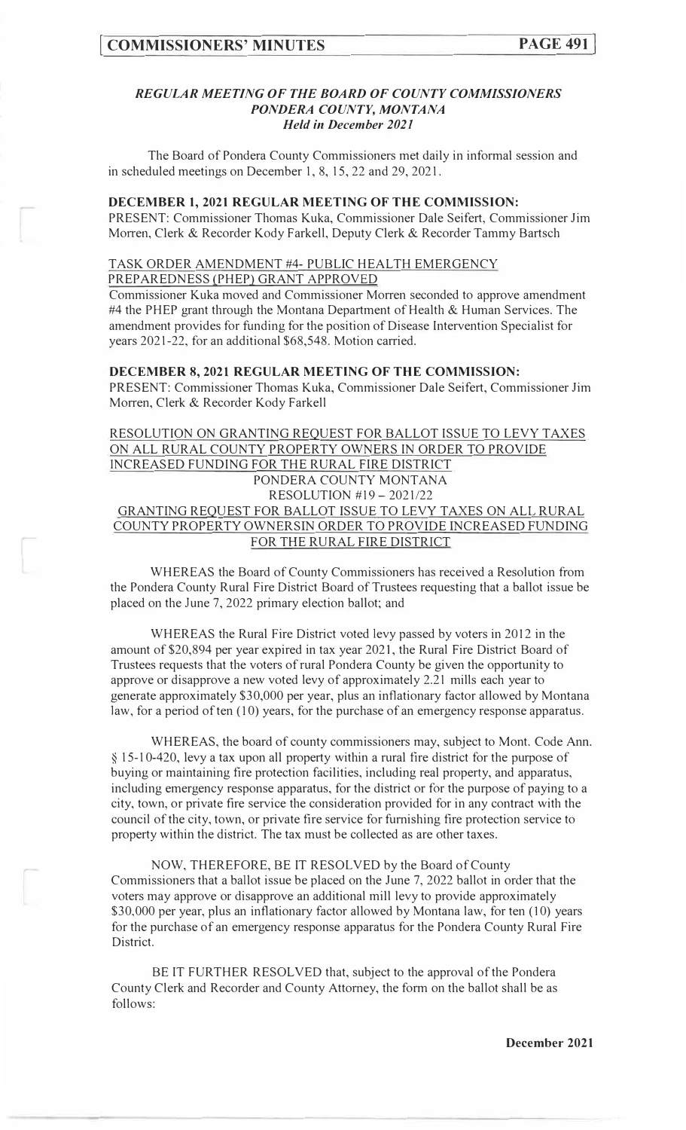## *REGULAR MEETING OF THE BOARD OF COUNTY COMMISSIONERS PONDERA COUNTY, MONTANA Held in December 2021*

The Board of Pondera County Commissioners met daily in informal session and in scheduled meetings on December 1, 8, 15, 22 and 29, 2021.

#### **DECEMBER 1, 2021 REGULAR MEETING OF THE COMMISSION:**

PRESENT: Commissioner Thomas Kuka, Commissioner Dale Seifert, Commissioner Jim Morren, Clerk & Recorder Kody Farkell, Deputy Clerk & Recorder Tammy Bartsch

# TASK ORDER AMENDMENT #4- PUBLIC HEALTH EMERGENCY

PREPAREDNESS (PHEP) GRANT APPROVED

Commissioner Kuka moved and Commissioner Morren seconded to approve amendment #4 the PHEP grant through the Montana Department of Health & Human Services. The amendment provides for funding for the position of Disease Intervention Specialist for years 2021-22, for an additional \$68,548. Motion carried.

## **DECEMBER 8, 2021 REGULAR MEETING OF THE COMMISSION:**

PRESENT: Commissioner Thomas Kuka, Commissioner Dale Seifert, Commissioner Jim Morren, Clerk & Recorder Kody Farkell

RESOLUTION ON GRANTING REQUEST FOR BALLOT ISSUE TO LEVY TAXES ON ALL RURAL COUNTY PROPERTY OWNERS IN ORDER TO PROVIDE INCREASED FUNDING FOR THE RURAL FIRE DISTRICT PONDERA COUNTY MONTANA RESOLUTION #19- 2021/22 GRANTING REQUEST FOR BALLOT ISSUE TO LEVY TAXES ON ALL RURAL COUNTY PROPERTY OWNERSIN ORDER TO PROVIDE INCREASED FUNDING FOR THE RURAL FIRE DISTRICT

WHEREAS the Board of County Commissioners has received a Resolution from the Pondera County Rural Fire District Board of Trustees requesting that a ballot issue be placed on the June 7, 2022 primary election ballot; and

WHEREAS the Rural Fire District voted levy passed by voters in 2012 in the amount of \$20,894 per year expired in tax year 2021, the Rural Fire District Board of Trustees requests that the voters of rural Pondera County be given the opportunity to approve or disapprove a new voted levy of approximately 2.21 mills each year to generate approximately \$30,000 per year, plus an inflationary factor allowed by Montana law, for a period of ten (10) years, for the purchase of an emergency response apparatus.

WHEREAS, the board of county commissioners may, subject to Mont. Code Ann. § 15-10-420, levy a tax upon all property within a rural fire district for the purpose of buying or maintaining fire protection facilities, including real property, and apparatus, including emergency response apparatus, for the district or for the purpose of paying to <sup>a</sup> city, town, or private fire service the consideration provided for in any contract with the council of the city, town, or private fire service for furnishing fire protection service to property within the district. The tax must be collected as are other taxes.

NOW, THEREFORE, BE IT RESOLVED by the Board of County Commissioners that a ballot issue be placed on the June 7, 2022 ballot in order that the voters may approve or disapprove an additional mill levy to provide approximately \$30,000 per year, plus an inflationary factor allowed by Montana law, for ten (10) years for the purchase of an emergency response apparatus for the Pondera County Rural Fire District.

BE IT FURTHER RESOLVED that, subject to the approval of the Pondera County Clerk and Recorder and County Attorney, the form on the ballot shall be as follows: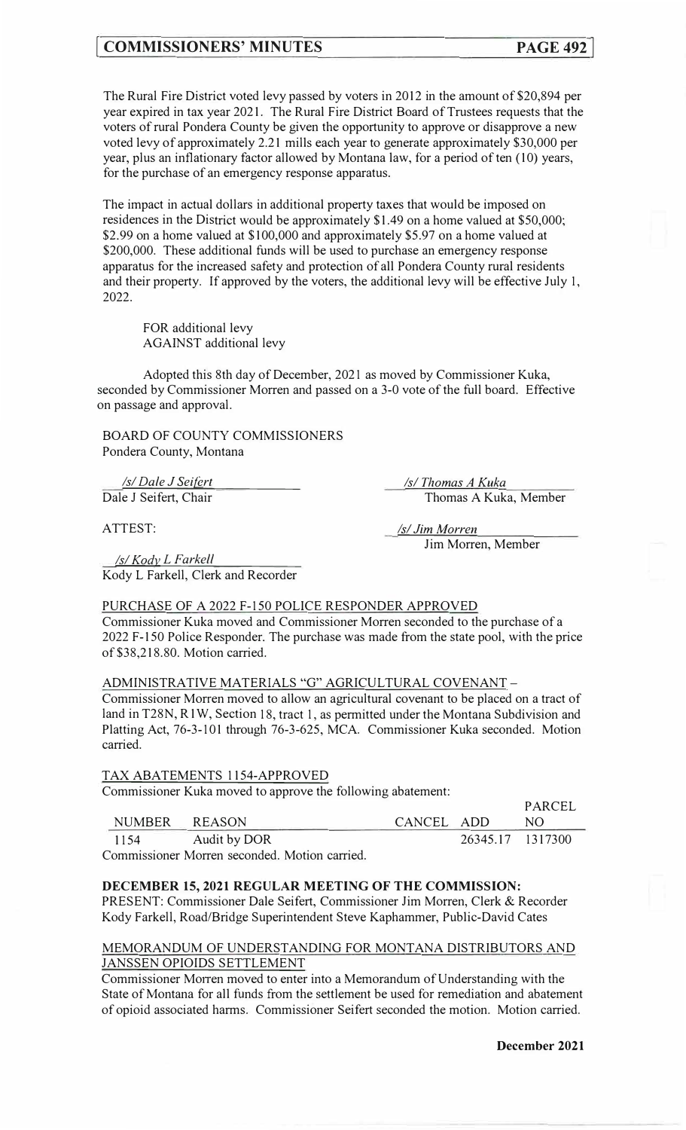# **[ COMMISSIONERS' MINUTES PAGE 492]**

The Rural Fire District voted levy passed by voters in 2012 in the amount of \$20,894 per year expired in tax year 2021. The Rural Fire District Board of Trustees requests that the voters of rural Pondera County be given the opportunity to approve or disapprove a new voted levy of approximately 2.21 mills each year to generate approximately \$30,000 per year, plus an inflationary factor allowed by Montana law, for a period of ten ( 10) years, for the purchase of an emergency response apparatus.

The impact in actual dollars in additional property taxes that would be imposed on residences in the District would be approximately \$1.49 on a home valued at \$50,000; \$2.99 on a home valued at \$100,000 and approximately \$5.97 on a home valued at \$200,000. These additional funds will be used to purchase an emergency response apparatus for the increased safety and protection of all Pondera County rural residents and their property. If approved by the voters, the additional levy will be effective July 1, 2022.

FOR additional levy AGAINST additional levy

Adopted this 8th day of December, 2021 as moved by Commissioner Kuka, seconded by Commissioner Morren and passed on a 3-0 vote of the full board. Effective on passage and approval.

BOARD OF COUNTY COMMISSIONERS Pondera County, Montana

*Isl Dale J Seifert*  Dale J Seifert, Chair

*Isl Kody L F arkell* 

*Isl Thomas A Kuka*  Thomas A Kuka, Member

ATTEST:

*l\_sl Jim Morren*  Jim Morren, Member

Kody L Farkell, Clerk and Recorder

# PURCHASE OF A 2022 F-150 POLICE RESPONDER APPROVED

Commissioner Kuka moved and Commissioner Morren seconded to the purchase of a 2022 F-150 Police Responder. The purchase was made from the state pool, with the price of \$38,218.80. Motion carried.

# ADMINISTRATIVE MATERIALS "G" AGRICULTURAL COVENANT-

Commissioner Morren moved to allow an agricultural covenant to be placed on a tract of land in T28N, R1W, Section 18, tract 1, as permitted under the Montana Subdivision and Platting Act, 76-3-101 through 76-3-625, MCA. Commissioner Kuka seconded. Motion carried.

### TAX ABATEMENTS 1154-APPROVED

Commissioner Kuka moved to approve the following abatement:

|      |               |            |                  | <b>FANUEL</b> |
|------|---------------|------------|------------------|---------------|
|      | NUMBER REASON | CANCEL ADD |                  | NO.           |
| 1154 | Audit by DOR  |            | 26345.17 1317300 |               |
|      |               |            |                  |               |

Commissioner Morren seconded. Motion carried.

### **DECEMBER 15, 2021 REGULAR MEETING OF THE COMMISSION:**

PRESENT: Commissioner Dale Seifert, Commissioner Jim Morren, Clerk & Recorder Kody Farkell, Road/Bridge Superintendent Steve Kaphammer, Public-David Cates

## MEMORANDUM OF UNDERSTANDING FOR MONTANA DISTRIBUTORS AND JANSSEN OPIOIDS SETTLEMENT

Commissioner Morren moved to enter into a Memorandum of Understanding with the State of Montana for all funds from the settlement be used for remediation and abatement of opioid associated harms. Commissioner Seifert seconded the motion. Motion carried.

PARCEL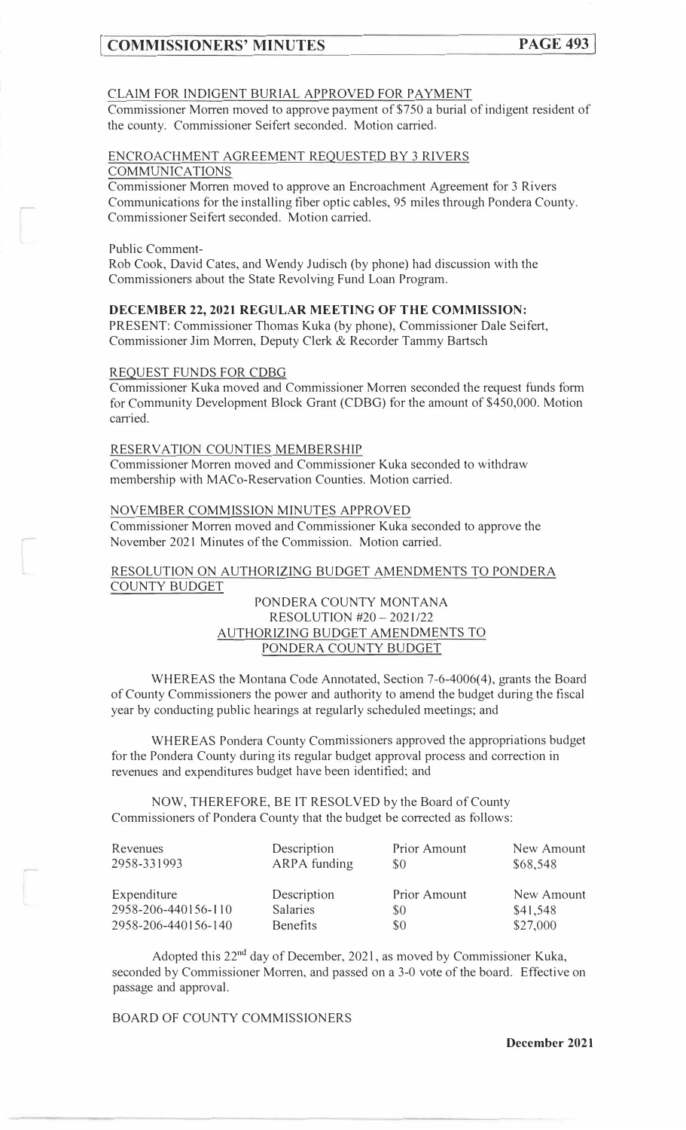# **COMMISSIONERS' MINUTES PAGE 493**

#### CLAIM FOR INDIGENT BURIAL APPROVED FOR PAYMENT

Commissioner Morren moved to approve payment of \$750 a burial of indigent resident of the county. Commissioner Seifert seconded. Motion carried.

### ENCROACHMENT AGREEMENT REQUESTED BY 3 RIVERS COMMUNICATIONS

Commissioner Morren moved to approve an Encroachment Agreement for 3 Rivers Communications for the installing fiber optic cables, 95 miles through Pondera County. Commissioner Seifert seconded. Motion car<sup>r</sup> ied.

Public Comment-

Rob Cook, David Cates, and Wendy Judisch (by phone) had discussion with the Commissioners about the State Revolving Fund Loan Program.

# **DECEMBER 22, 2021 REGULAR MEETING OF THE COMMISSION:**

PRESENT: Commissioner Thomas Kuka (by phone), Commissioner Dale Seifert, Commissioner Jim Morren, Deputy Clerk & Recorder Tammy Bartsch

#### REQUEST FUNDS FOR CDBG

Commissioner Kuka moved and Commissioner Morren seconded the request funds form for Community Development Block Grant (CDBG) for the amount of \$450,000. Motion car<sup>r</sup> ied.

# RESERVATION COUNTIES MEMBERSHIP

Commissioner Morren moved and Commissioner Kuka seconded to withdraw membership with MACo-Reservation Counties. Motion carried.

#### NOVEMBER COMMISSION MINUTES APPROVED

Commissioner Morren moved and Commissioner Kuka seconded to approve the November 2021 Minutes of the Commission. Motion carried.

#### RESOLUTION ON AUTHORIZING BUDGET AMENDMENTS TO PONDERA COUNTY BUDGET

# PONDERA COUNTY MONTANA RESOLUTION #20- 2021/22 AUTHORIZING BUDGET AMENDMENTS TO PONDERA COUNTY BUDGET

WHEREAS the Montana Code Annotated, Section 7-6-4006(4), grants the Board of County Commissioners the power and authority to amend the budget during the fiscal year by conducting public hearings at regularly scheduled meetings; and

WHEREAS Pondera County Commissioners approved the appropriations budget for the Pondera County during its regular budget approval process and correction in revenues and expenditures budget have been identified; and

NOW, THEREFORE, BE IT RESOLVED by the Board of County Commissioners of Pondera County that the budget be corrected as follows:

| Revenues<br>2958-331993 | Description<br>ARPA funding | <b>Prior Amount</b><br>\$0 | New Amount<br>\$68,548 |
|-------------------------|-----------------------------|----------------------------|------------------------|
| Expenditure             | Description                 | <b>Prior Amount</b>        | New Amount             |
| 2958-206-440156-110     | Salaries                    | \$0                        | \$41,548               |
| 2958-206-440156-140     | Benefits                    | \$0                        | \$27,000               |

Adopted this 22<sup>nd</sup> day of December, 2021, as moved by Commissioner Kuka, seconded by Commissioner Morren, and passed on a 3-0 vote of the board. Effective on passage and approval.

BOARD OF COUNTY COMMISSIONERS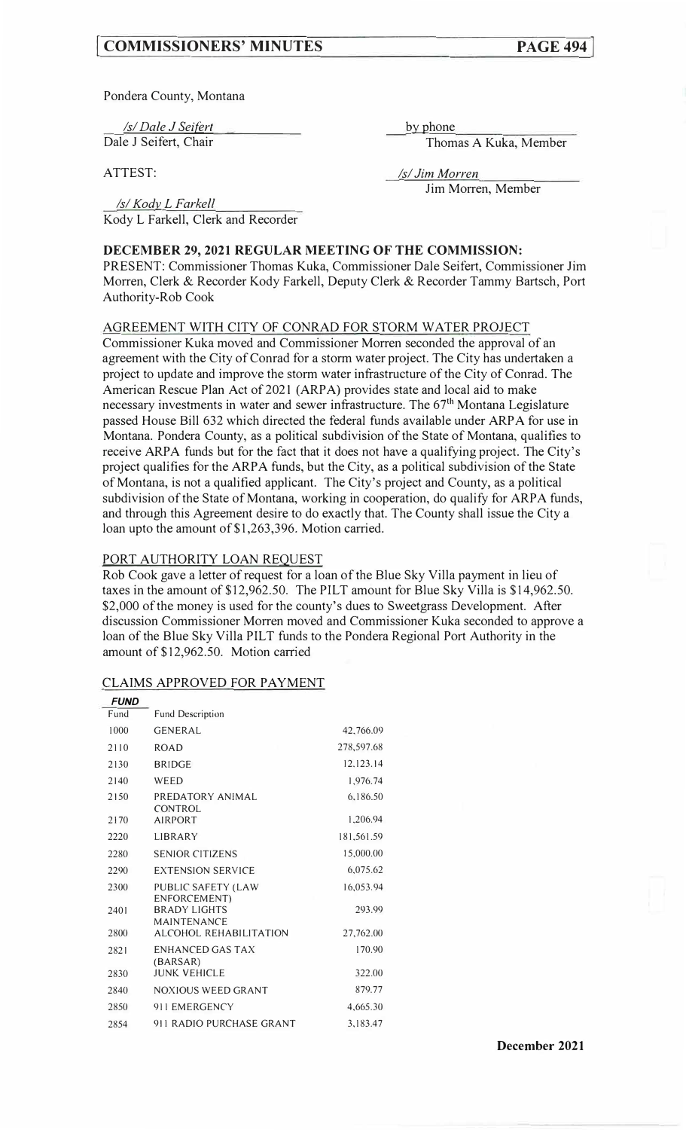# **[ COMMISSIONERS' MINUTES**

Pondera County, Montana

*Isl Dale J Seifert* 

Dale J Seifert, Chair

ATTEST:

by phone

Thomas A Kuka, Member

*Isl Jim Morren*  Jim Morren, Member

*Isl Kody\_ L Farkell*  Kody L Farkell, Clerk and Recorder

# **DECEMBER 29, 2021 REGULAR MEETING OF THE COMMISSION:**

PRESENT: Commissioner Thomas Kuka, Commissioner Dale Seifert, Commissioner Jim Morren, Clerk & Recorder Kody Farkell, Deputy Clerk & Recorder Tammy Bartsch, Port Authority-Rob Cook

#### AGREEMENT WITH CITY OF CONRAD FOR STORM WATER PROJECT

Commissioner Kuka moved and Commissioner Morren seconded the approval of an agreement with the City of Conrad for a storm water project. The City has undertaken a project to update and improve the storm water infrastructure of the City of Conrad. The American Rescue Plan Act of 2021 (ARPA) provides state and local aid to make necessary investments in water and sewer infrastructure. The  $67<sup>th</sup>$  Montana Legislature passed House Bill 632 which directed the federal funds available under ARPA for use in Montana. Pondera County, as a political subdivision of the State of Montana, qualifies to receive ARPA funds but for the fact that it does not have a qualifying project. The City's project qualifies for the ARPA funds, but the City, as a political subdivision of the State of Montana, is not a qualified applicant. The City's project and County, as a political subdivision of the State of Montana, working in cooperation, do qualify for ARPA funds, and through this Agreement desire to do exactly that. The County shall issue the City a loan upto the amount of \$1,263,396. Motion carried.

#### PORT AUTHORITY LOAN REQUEST

Rob Cook gave a letter of request for a loan of the Blue Sky Villa payment in lieu of taxes in the amount of \$12,962.50. The PILT amount for Blue Sky Villa is \$14,962.50. \$2,000 of the money is used for the county's dues to Sweetgrass Development. After discussion Commissioner Morren moved and Commissioner Kuka seconded to approve a loan of the Blue Sky Villa PILT funds to the Pondera Regional Port Authority in the amount of \$12,962.50. Motion carried

#### CLAIMS APPROVED FOR PAYMENT

| <b>FUND</b> |                                           |            |
|-------------|-------------------------------------------|------------|
| Fund        | <b>Fund Description</b>                   |            |
| 1000        | <b>GENERAL</b>                            | 42,766.09  |
| 2110        | <b>ROAD</b>                               | 278,597.68 |
| 2130        | <b>BRIDGE</b>                             | 12.123.14  |
| 2140        | WEED                                      | 1,976.74   |
| 2150        | PREDATORY ANIMAL<br><b>CONTROL</b>        | 6.186.50   |
| 2170        | <b>AIRPORT</b>                            | 1,206.94   |
| 2220        | LIBRARY                                   | 181.561.59 |
| 2280        | <b>SENIOR CITIZENS</b>                    | 15.000.00  |
| 2290        | <b>EXTENSION SERVICE</b>                  | 6,075.62   |
| 2300        | PUBLIC SAFETY (LAW<br>ENFORCEMENT)        | 16,053.94  |
| 2401        | <b>BRADY LIGHTS</b><br><b>MAINTENANCE</b> | 293.99     |
| 2800        | ALCOHOL REHABILITATION                    | 27,762.00  |
| 2821        | ENHANCED GAS TAX<br>(BARSAR)              | 170.90     |
| 2830        | <b>JUNK VEHICLE</b>                       | 322.00     |
| 2840        | <b>NOXIOUS WEED GRANT</b>                 | 879.77     |
| 2850        | 911 EMERGENCY                             | 4,665.30   |
| 2854        | 911 RADIO PURCHASE GRANT                  | 3.183.47   |